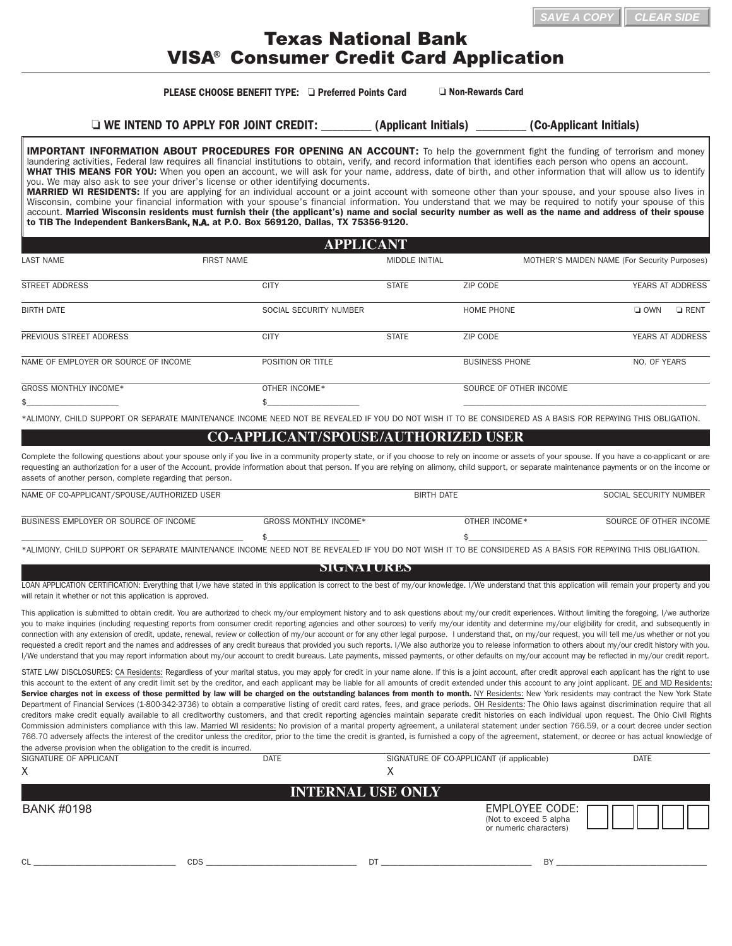## Texas National Bank VISA® Consumer Credit Card Application

### **PLEASE CHOOSE BENEFIT TYPE:**  $\Box$  Preferred Points Card  $\Box$  Non-Rewards Card

o **WE INTEND TO APPLY FOR JOINT CREDIT:** \_\_\_\_\_\_\_\_\_ **(Applicant Initials)** \_\_\_\_\_\_\_\_\_ **(Co-Applicant Initials)**

**IMPORTANT INFORMATION ABOUT PROCEDURES FOR OPENING AN ACCOUNT:** To help the government fight the funding of terrorism and money laundering activities, Federal law requires all financial institutions to obtain, verify, and record information that identifies each person who opens an account. **WHAT THIS MEANS FOR YOU:** When you open an account, we will ask for your name, address, date of birth, and other information that will allow us to identify you. We may also ask to see your driver's license or other identifying documents.

**MARRIED WI RESIDENTS:** If you are applying for an individual account or a joint account with someone other than your spouse, and your spouse also lives in Wisconsin, combine your financial information with your spouse's financial information. You understand that we may be required to notify your spouse of this account. **Married Wisconsin residents must furnish their (the applicant's) name and social security number as well as the name and address of their spouse to TIB The Independent BankersBank**, N.A. **at P.O. Box 569120, Dallas, TX 75356-9120.**

| <b>APPLICANT</b>                     |                   |                        |                       |                        |                                              |                         |
|--------------------------------------|-------------------|------------------------|-----------------------|------------------------|----------------------------------------------|-------------------------|
| <b>LAST NAME</b>                     | <b>FIRST NAME</b> |                        | <b>MIDDLE INITIAL</b> |                        | MOTHER'S MAIDEN NAME (For Security Purposes) |                         |
| <b>STREET ADDRESS</b>                | <b>CITY</b>       |                        | <b>STATE</b>          | ZIP CODE               |                                              | YEARS AT ADDRESS        |
| <b>BIRTH DATE</b>                    |                   | SOCIAL SECURITY NUMBER |                       | <b>HOME PHONE</b>      | $\Box$ OWN                                   | $\Box$ RENT             |
| PREVIOUS STREET ADDRESS              | <b>CITY</b>       |                        | <b>STATE</b>          | ZIP CODE               |                                              | <b>YEARS AT ADDRESS</b> |
| NAME OF EMPLOYER OR SOURCE OF INCOME |                   | POSITION OR TITLE      |                       | <b>BUSINESS PHONE</b>  | NO. OF YEARS                                 |                         |
| <b>GROSS MONTHLY INCOME*</b>         |                   | OTHER INCOME*          |                       | SOURCE OF OTHER INCOME |                                              |                         |
| \$                                   | \$                |                        |                       |                        |                                              |                         |

\*ALIMONY, CHILD SUPPORT OR SEPARATE MAINTENANCE INCOME NEED NOT BE REVEALED IF YOU DO NOT WISH IT TO BE CONSIDERED AS A BASIS FOR REPAYING THIS OBLIGATION.

### **CO-APPLICANT/SPOUSE/AUTHORIZED USER**

Complete the following questions about your spouse only if you live in a community property state, or if you choose to rely on income or assets of your spouse. If you have a co-applicant or are requesting an authorization for a user of the Account, provide information about that person. If you are relying on alimony, child support, or separate maintenance payments or on the income or assets of another person, complete regarding that person.

| NAME OF CO-APPLICANT/SPOUSE/AUTHORIZED USER                                                                                                                 |                       | BIRTH DATE    |                        |
|-------------------------------------------------------------------------------------------------------------------------------------------------------------|-----------------------|---------------|------------------------|
|                                                                                                                                                             |                       |               |                        |
| BUSINESS EMPLOYER OR SOURCE OF INCOME                                                                                                                       | GROSS MONTHLY INCOME* | OTHER INCOME* | SOURCE OF OTHER INCOME |
|                                                                                                                                                             |                       |               |                        |
| *ALIMONY. CHILD SUPPORT OR SEPARATE MAINTENANCE INCOME NEED NOT BE REVEALED IF YOU DO NOT WISH IT TO BE CONSIDERED AS A BASIS FOR REPAYING THIS OBLIGATION. |                       |               |                        |

#### **SIGNATURES**

LOAN APPLICATION CERTIFICATION: Everything that I/we have stated in this application is correct to the best of my/our knowledge. I/We understand that this application will remain your property and you will retain it whether or not this application is approved.

This application is submitted to obtain credit. You are authorized to check my/our employment history and to ask questions about my/our credit experiences. Without limiting the foregoing, I/we authorize you to make inquiries (including requesting reports from consumer credit reporting agencies and other sources) to verify my/our identity and determine my/our eligibility for credit, and subsequently in connection with any extension of credit, update, renewal, review or collection of my/our account or for any other legal purpose. I understand that, on my/our request, you will tell me/us whether or not you requested a credit report and the names and addresses of any credit bureaus that provided you such reports. I/We also authorize you to release information to others about my/our credit history with you. I/We understand that you may report information about my/our account to credit bureaus. Late payments, missed payments, or other defaults on my/our account may be reflected in my/our credit report.

STATE LAW DISCLOSURES: CA Residents: Regardless of your marital status, you may apply for credit in your name alone. If this is a joint account, after credit approval each applicant has the right to use this account to the extent of any credit limit set by the creditor, and each applicant may be liable for all amounts of credit extended under this account to any joint applicant. DE and MD Residents: Service charges not in excess of those permitted by law will be charged on the outstanding balances from month to month. NY Residents: New York residents may contract the New York State Department of Financial Services (1-800-342-3736) to obtain a comparative listing of credit card rates, fees, and grace periods. OH Residents: The Ohio laws against discrimination require that all creditors make credit equally available to all creditworthy customers, and that credit reporting agencies maintain separate credit histories on each individual upon request. The Ohio Civil Rights Commission administers compliance with this law. Married WI residents: No provision of a marital property agreement, a unilateral statement under section 766.59, or a court decree under section 766.70 adversely affects the interest of the creditor unless the creditor, prior to the time the credit is granted, is furnished a copy of the agreement, statement, or decree or has actual knowledge of the adverse provision when the obligation to the credit is incurred.

| SIGNATURE OF APPLICANT | <b>DATE</b> | SIGNATURE OF CO-APPLICANT (if applicable) | <b>DATE</b>                                                        |  |
|------------------------|-------------|-------------------------------------------|--------------------------------------------------------------------|--|
| Χ                      |             |                                           |                                                                    |  |
|                        |             | <b>INTERNAL USE ONLY</b>                  |                                                                    |  |
| <b>BANK #0198</b>      |             |                                           | EMPLOYEE CODE:<br>(Not to exceed 5 alpha<br>or numeric characters) |  |
| CL                     | <b>CDS</b>  | DT                                        | BY                                                                 |  |